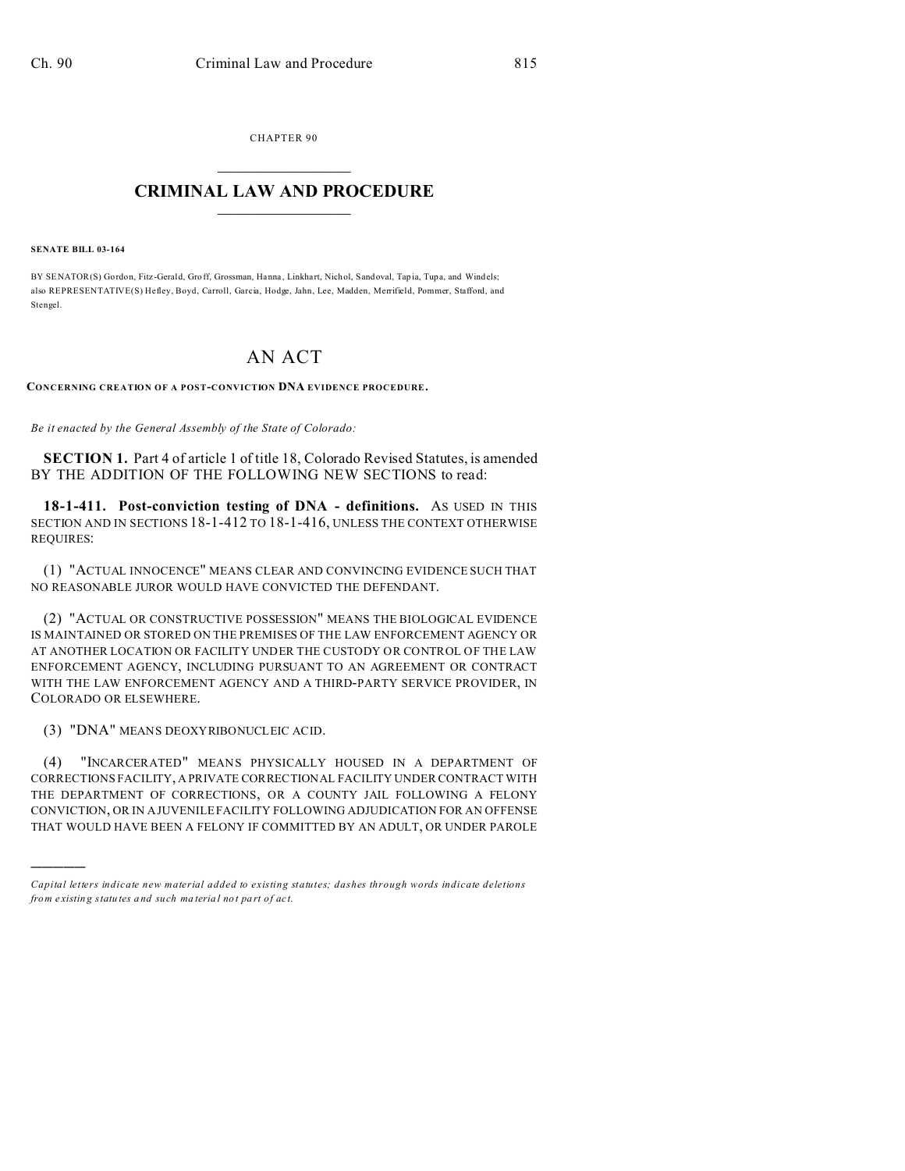CHAPTER 90  $\overline{\phantom{a}}$  , where  $\overline{\phantom{a}}$ 

## **CRIMINAL LAW AND PROCEDURE**  $\_$   $\_$   $\_$   $\_$   $\_$   $\_$   $\_$   $\_$   $\_$

## **SENATE BILL 03-164**

)))))

BY SENATOR(S) Gordon, Fitz-Gerald, Groff, Grossman, Hanna, Linkhart, Nichol, Sandoval, Tapia, Tupa, and Windels; also REPRESENTATIVE(S) Hefley, Boyd, Carroll, Garcia, Hodge, Jahn, Lee, Madden, Merrifield, Pommer, Stafford, and Stengel.

## AN ACT

**CONCERNING CREATION OF A POST-CONVICTION DNA EVIDENCE PROCEDURE.**

*Be it enacted by the General Assembly of the State of Colorado:*

**SECTION 1.** Part 4 of article 1 of title 18, Colorado Revised Statutes, is amended BY THE ADDITION OF THE FOLLOWING NEW SECTIONS to read:

**18-1-411. Post-conviction testing of DNA - definitions.** AS USED IN THIS SECTION AND IN SECTIONS 18-1-412 TO 18-1-416, UNLESS THE CONTEXT OTHERWISE REQUIRES:

(1) "ACTUAL INNOCENCE" MEANS CLEAR AND CONVINCING EVIDENCE SUCH THAT NO REASONABLE JUROR WOULD HAVE CONVICTED THE DEFENDANT.

(2) "ACTUAL OR CONSTRUCTIVE POSSESSION" MEANS THE BIOLOGICAL EVIDENCE IS MAINTAINED OR STORED ON THE PREMISES OF THE LAW ENFORCEMENT AGENCY OR AT ANOTHER LOCATION OR FACILITY UNDER THE CUSTODY OR CONTROL OF THE LAW ENFORCEMENT AGENCY, INCLUDING PURSUANT TO AN AGREEMENT OR CONTRACT WITH THE LAW ENFORCEMENT AGENCY AND A THIRD-PARTY SERVICE PROVIDER, IN COLORADO OR ELSEWHERE.

(3) "DNA" MEANS DEOXYRIBONUCLEIC ACID.

(4) "INCARCERATED" MEANS PHYSICALLY HOUSED IN A DEPARTMENT OF CORRECTIONS FACILITY, A PRIVATE CORRECTIONAL FACILITY UNDER CONTRACT WITH THE DEPARTMENT OF CORRECTIONS, OR A COUNTY JAIL FOLLOWING A FELONY CONVICTION, OR IN A JUVENILE FACILITY FOLLOWING ADJUDICATION FOR AN OFFENSE THAT WOULD HAVE BEEN A FELONY IF COMMITTED BY AN ADULT, OR UNDER PAROLE

*Capital letters indicate new material added to existing statutes; dashes through words indicate deletions from e xistin g statu tes a nd such ma teria l no t pa rt of ac t.*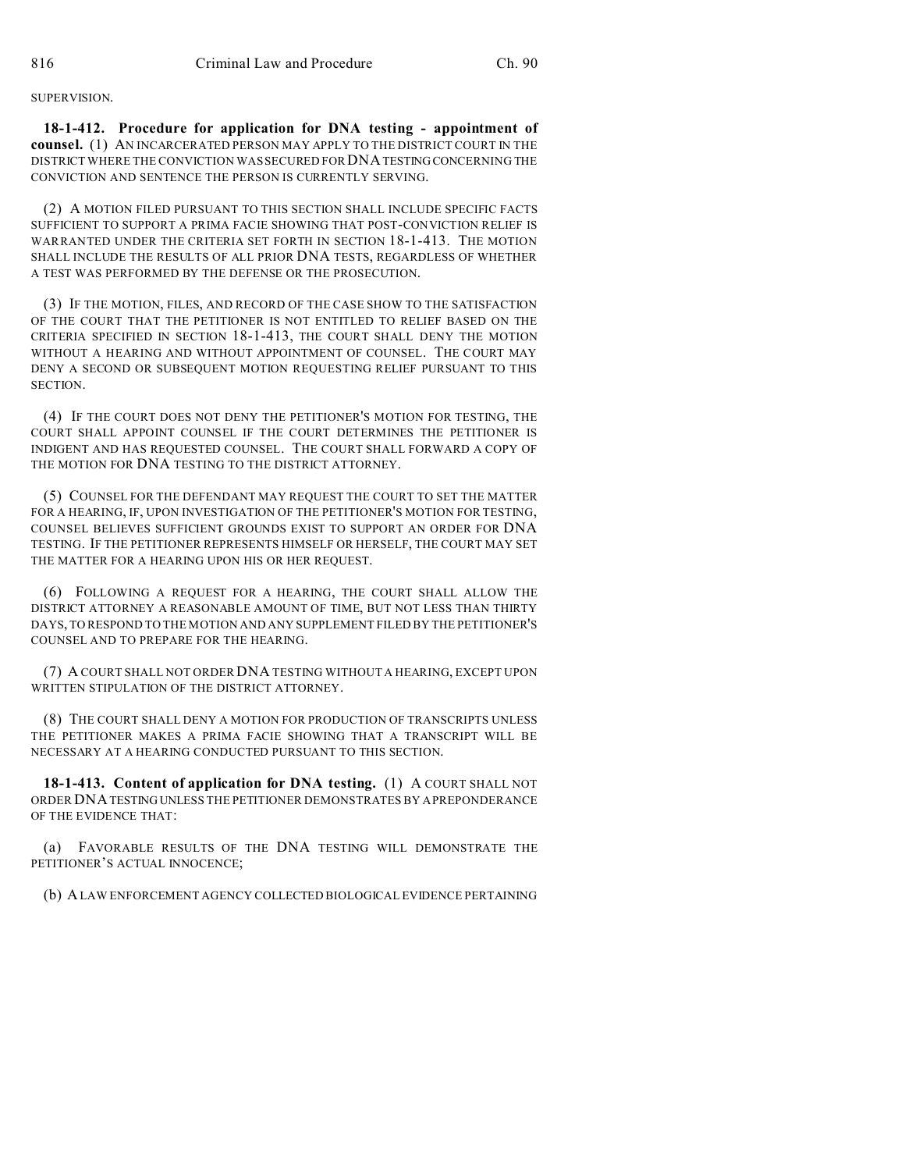SUPERVISION.

**18-1-412. Procedure for application for DNA testing - appointment of counsel.** (1) AN INCARCERATED PERSON MAY APPLY TO THE DISTRICT COURT IN THE DISTRICT WHERE THE CONVICTION WAS SECURED FOR DNATESTING CONCERNING THE CONVICTION AND SENTENCE THE PERSON IS CURRENTLY SERVING.

(2) A MOTION FILED PURSUANT TO THIS SECTION SHALL INCLUDE SPECIFIC FACTS SUFFICIENT TO SUPPORT A PRIMA FACIE SHOWING THAT POST-CONVICTION RELIEF IS WARRANTED UNDER THE CRITERIA SET FORTH IN SECTION 18-1-413. THE MOTION SHALL INCLUDE THE RESULTS OF ALL PRIOR DNA TESTS, REGARDLESS OF WHETHER A TEST WAS PERFORMED BY THE DEFENSE OR THE PROSECUTION.

(3) IF THE MOTION, FILES, AND RECORD OF THE CASE SHOW TO THE SATISFACTION OF THE COURT THAT THE PETITIONER IS NOT ENTITLED TO RELIEF BASED ON THE CRITERIA SPECIFIED IN SECTION 18-1-413, THE COURT SHALL DENY THE MOTION WITHOUT A HEARING AND WITHOUT APPOINTMENT OF COUNSEL. THE COURT MAY DENY A SECOND OR SUBSEQUENT MOTION REQUESTING RELIEF PURSUANT TO THIS SECTION.

(4) IF THE COURT DOES NOT DENY THE PETITIONER'S MOTION FOR TESTING, THE COURT SHALL APPOINT COUNSEL IF THE COURT DETERMINES THE PETITIONER IS INDIGENT AND HAS REQUESTED COUNSEL. THE COURT SHALL FORWARD A COPY OF THE MOTION FOR DNA TESTING TO THE DISTRICT ATTORNEY.

(5) COUNSEL FOR THE DEFENDANT MAY REQUEST THE COURT TO SET THE MATTER FOR A HEARING, IF, UPON INVESTIGATION OF THE PETITIONER'S MOTION FOR TESTING, COUNSEL BELIEVES SUFFICIENT GROUNDS EXIST TO SUPPORT AN ORDER FOR DNA TESTING. IF THE PETITIONER REPRESENTS HIMSELF OR HERSELF, THE COURT MAY SET THE MATTER FOR A HEARING UPON HIS OR HER REQUEST.

(6) FOLLOWING A REQUEST FOR A HEARING, THE COURT SHALL ALLOW THE DISTRICT ATTORNEY A REASONABLE AMOUNT OF TIME, BUT NOT LESS THAN THIRTY DAYS, TO RESPOND TO THE MOTION AND ANY SUPPLEMENT FILED BY THE PETITIONER'S COUNSEL AND TO PREPARE FOR THE HEARING.

(7) A COURT SHALL NOT ORDER DNA TESTING WITHOUT A HEARING, EXCEPT UPON WRITTEN STIPULATION OF THE DISTRICT ATTORNEY.

(8) THE COURT SHALL DENY A MOTION FOR PRODUCTION OF TRANSCRIPTS UNLESS THE PETITIONER MAKES A PRIMA FACIE SHOWING THAT A TRANSCRIPT WILL BE NECESSARY AT A HEARING CONDUCTED PURSUANT TO THIS SECTION.

**18-1-413. Content of application for DNA testing.** (1) A COURT SHALL NOT ORDER DNATESTING UNLESS THE PETITIONER DEMONSTRATES BY A PREPONDERANCE OF THE EVIDENCE THAT:

(a) FAVORABLE RESULTS OF THE DNA TESTING WILL DEMONSTRATE THE PETITIONER'S ACTUAL INNOCENCE;

(b) A LAW ENFORCEMENT AGENCY COLLECTED BIOLOGICAL EVIDENCE PERTAINING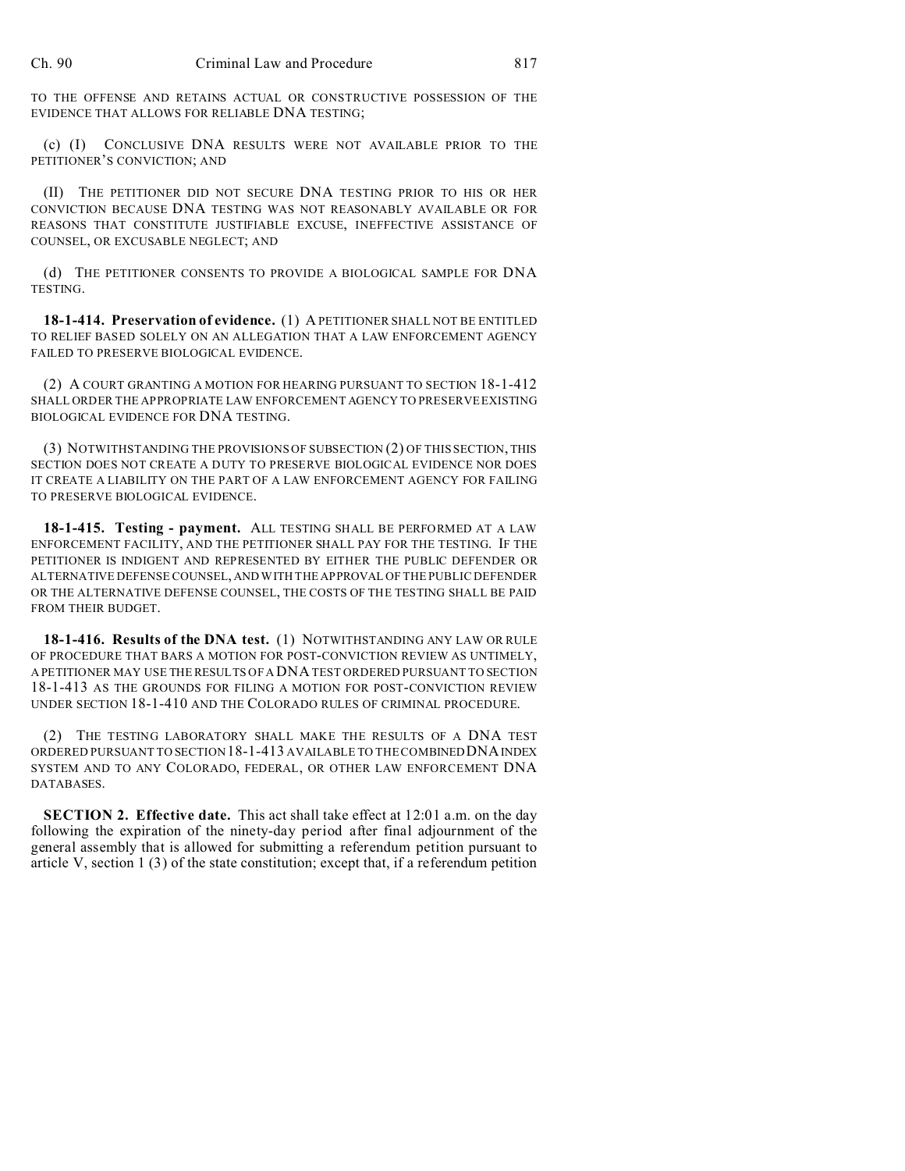TO THE OFFENSE AND RETAINS ACTUAL OR CONSTRUCTIVE POSSESSION OF THE EVIDENCE THAT ALLOWS FOR RELIABLE DNA TESTING;

(c) (I) CONCLUSIVE DNA RESULTS WERE NOT AVAILABLE PRIOR TO THE PETITIONER'S CONVICTION; AND

(II) THE PETITIONER DID NOT SECURE DNA TESTING PRIOR TO HIS OR HER CONVICTION BECAUSE DNA TESTING WAS NOT REASONABLY AVAILABLE OR FOR REASONS THAT CONSTITUTE JUSTIFIABLE EXCUSE, INEFFECTIVE ASSISTANCE OF COUNSEL, OR EXCUSABLE NEGLECT; AND

(d) THE PETITIONER CONSENTS TO PROVIDE A BIOLOGICAL SAMPLE FOR DNA TESTING.

**18-1-414. Preservation of evidence.** (1) A PETITIONER SHALL NOT BE ENTITLED TO RELIEF BASED SOLELY ON AN ALLEGATION THAT A LAW ENFORCEMENT AGENCY FAILED TO PRESERVE BIOLOGICAL EVIDENCE.

(2) A COURT GRANTING A MOTION FOR HEARING PURSUANT TO SECTION 18-1-412 SHALL ORDER THE APPROPRIATE LAW ENFORCEMENT AGENCY TO PRESERVE EXISTING BIOLOGICAL EVIDENCE FOR DNA TESTING.

(3) NOTWITHSTANDING THE PROVISIONS OF SUBSECTION (2) OF THIS SECTION, THIS SECTION DOES NOT CREATE A DUTY TO PRESERVE BIOLOGICAL EVIDENCE NOR DOES IT CREATE A LIABILITY ON THE PART OF A LAW ENFORCEMENT AGENCY FOR FAILING TO PRESERVE BIOLOGICAL EVIDENCE.

**18-1-415. Testing - payment.** ALL TESTING SHALL BE PERFORMED AT A LAW ENFORCEMENT FACILITY, AND THE PETITIONER SHALL PAY FOR THE TESTING. IF THE PETITIONER IS INDIGENT AND REPRESENTED BY EITHER THE PUBLIC DEFENDER OR ALTERNATIVE DEFENSE COUNSEL, AND WITH THE APPROVAL OF THE PUBLIC DEFENDER OR THE ALTERNATIVE DEFENSE COUNSEL, THE COSTS OF THE TESTING SHALL BE PAID FROM THEIR BUDGET.

**18-1-416. Results of the DNA test.** (1) NOTWITHSTANDING ANY LAW OR RULE OF PROCEDURE THAT BARS A MOTION FOR POST-CONVICTION REVIEW AS UNTIMELY, A PETITIONER MAY USE THE RESULTS OF A DNA TEST ORDERED PURSUANT TO SECTION 18-1-413 AS THE GROUNDS FOR FILING A MOTION FOR POST-CONVICTION REVIEW UNDER SECTION 18-1-410 AND THE COLORADO RULES OF CRIMINAL PROCEDURE.

(2) THE TESTING LABORATORY SHALL MAKE THE RESULTS OF A DNA TEST ORDERED PURSUANT TO SECTION 18-1-413 AVAILABLE TO THE COMBINEDDNAINDEX SYSTEM AND TO ANY COLORADO, FEDERAL, OR OTHER LAW ENFORCEMENT DNA DATABASES.

**SECTION 2. Effective date.** This act shall take effect at 12:01 a.m. on the day following the expiration of the ninety-day period after final adjournment of the general assembly that is allowed for submitting a referendum petition pursuant to article V, section  $1(3)$  of the state constitution; except that, if a referendum petition